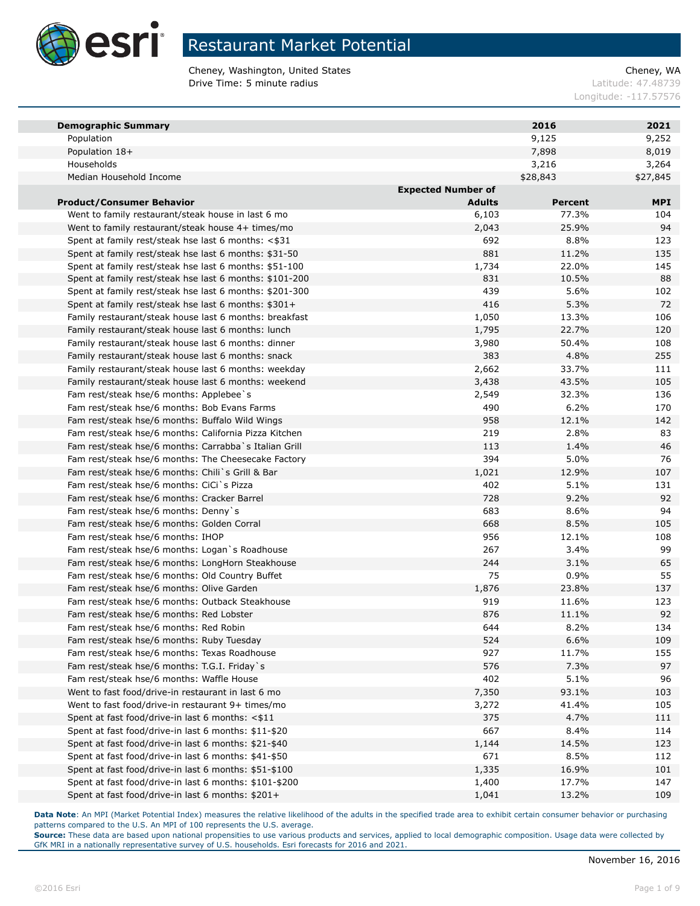

Cheney, Washington, United States Cheney, WA **Drive Time: 5 minute radius Contract Contract Contract Contract Contract Contract Contract Contract Contract Contract Contract Contract Contract Contract Contract Contract Contract Contract Contract Contract Contract Co** 

Longitude: -117.57576

| <b>Demographic Summary</b>                                                                                   |                           | 2016           | 2021       |
|--------------------------------------------------------------------------------------------------------------|---------------------------|----------------|------------|
| Population                                                                                                   |                           | 9,125          | 9,252      |
| Population 18+                                                                                               |                           | 7,898          | 8,019      |
| Households                                                                                                   |                           | 3,216          | 3,264      |
| Median Household Income                                                                                      |                           | \$28,843       | \$27,845   |
|                                                                                                              | <b>Expected Number of</b> |                |            |
| <b>Product/Consumer Behavior</b>                                                                             | <b>Adults</b>             | <b>Percent</b> | <b>MPI</b> |
| Went to family restaurant/steak house in last 6 mo                                                           | 6,103                     | 77.3%          | 104        |
| Went to family restaurant/steak house 4+ times/mo                                                            | 2,043                     | 25.9%          | 94         |
| Spent at family rest/steak hse last 6 months: <\$31                                                          | 692                       | 8.8%           | 123        |
| Spent at family rest/steak hse last 6 months: \$31-50                                                        | 881                       | 11.2%          | 135        |
| Spent at family rest/steak hse last 6 months: \$51-100                                                       | 1,734                     | 22.0%          | 145        |
| Spent at family rest/steak hse last 6 months: \$101-200                                                      | 831                       | 10.5%          | 88         |
| Spent at family rest/steak hse last 6 months: \$201-300                                                      | 439                       | 5.6%           | 102        |
| Spent at family rest/steak hse last 6 months: \$301+                                                         | 416                       | 5.3%           | 72         |
| Family restaurant/steak house last 6 months: breakfast                                                       | 1,050                     | 13.3%          | 106        |
| Family restaurant/steak house last 6 months: lunch                                                           | 1,795                     | 22.7%          | 120        |
| Family restaurant/steak house last 6 months: dinner                                                          | 3,980                     | 50.4%          | 108        |
| Family restaurant/steak house last 6 months: snack                                                           | 383                       | 4.8%           | 255        |
| Family restaurant/steak house last 6 months: weekday                                                         | 2,662                     | 33.7%          | 111        |
| Family restaurant/steak house last 6 months: weekend                                                         | 3,438                     | 43.5%          | 105        |
| Fam rest/steak hse/6 months: Applebee's                                                                      | 2,549                     | 32.3%          | 136        |
| Fam rest/steak hse/6 months: Bob Evans Farms                                                                 | 490                       | 6.2%           | 170        |
| Fam rest/steak hse/6 months: Buffalo Wild Wings                                                              | 958                       | 12.1%          | 142        |
| Fam rest/steak hse/6 months: California Pizza Kitchen                                                        | 219                       | 2.8%           | 83         |
| Fam rest/steak hse/6 months: Carrabba`s Italian Grill<br>Fam rest/steak hse/6 months: The Cheesecake Factory | 113<br>394                | 1.4%<br>5.0%   | 46<br>76   |
| Fam rest/steak hse/6 months: Chili`s Grill & Bar                                                             |                           | 12.9%          | 107        |
| Fam rest/steak hse/6 months: CiCi`s Pizza                                                                    | 1,021<br>402              | 5.1%           | 131        |
| Fam rest/steak hse/6 months: Cracker Barrel                                                                  | 728                       | 9.2%           | 92         |
| Fam rest/steak hse/6 months: Denny's                                                                         | 683                       | 8.6%           | 94         |
| Fam rest/steak hse/6 months: Golden Corral                                                                   | 668                       | 8.5%           | 105        |
| Fam rest/steak hse/6 months: IHOP                                                                            | 956                       | 12.1%          | 108        |
| Fam rest/steak hse/6 months: Logan's Roadhouse                                                               | 267                       | 3.4%           | 99         |
| Fam rest/steak hse/6 months: LongHorn Steakhouse                                                             | 244                       | 3.1%           | 65         |
| Fam rest/steak hse/6 months: Old Country Buffet                                                              | 75                        | 0.9%           | 55         |
| Fam rest/steak hse/6 months: Olive Garden                                                                    | 1,876                     | 23.8%          | 137        |
| Fam rest/steak hse/6 months: Outback Steakhouse                                                              | 919                       | 11.6%          | 123        |
| Fam rest/steak hse/6 months: Red Lobster                                                                     | 876                       | 11.1%          | 92         |
| Fam rest/steak hse/6 months: Red Robin                                                                       | 644                       | 8.2%           | 134        |
| Fam rest/steak hse/6 months: Ruby Tuesday                                                                    | 524                       | 6.6%           | 109        |
| Fam rest/steak hse/6 months: Texas Roadhouse                                                                 | 927                       | 11.7%          | 155        |
| Fam rest/steak hse/6 months: T.G.I. Friday`s                                                                 | 576                       | 7.3%           | 97         |
| Fam rest/steak hse/6 months: Waffle House                                                                    | 402                       | 5.1%           | 96         |
| Went to fast food/drive-in restaurant in last 6 mo                                                           | 7,350                     | 93.1%          | 103        |
| Went to fast food/drive-in restaurant 9+ times/mo                                                            | 3,272                     | 41.4%          | 105        |
| Spent at fast food/drive-in last 6 months: $<$ \$11                                                          | 375                       | 4.7%           | 111        |
| Spent at fast food/drive-in last 6 months: \$11-\$20                                                         | 667                       | 8.4%           | 114        |
| Spent at fast food/drive-in last 6 months: \$21-\$40                                                         | 1,144                     | 14.5%          | 123        |
| Spent at fast food/drive-in last 6 months: \$41-\$50                                                         | 671                       | 8.5%           | 112        |
| Spent at fast food/drive-in last 6 months: \$51-\$100                                                        | 1,335                     | 16.9%          | 101        |
| Spent at fast food/drive-in last 6 months: \$101-\$200                                                       | 1,400                     | 17.7%          | 147        |
| Spent at fast food/drive-in last 6 months: \$201+                                                            | 1,041                     | 13.2%          | 109        |

Data Note: An MPI (Market Potential Index) measures the relative likelihood of the adults in the specified trade area to exhibit certain consumer behavior or purchasing patterns compared to the U.S. An MPI of 100 represents the U.S. average.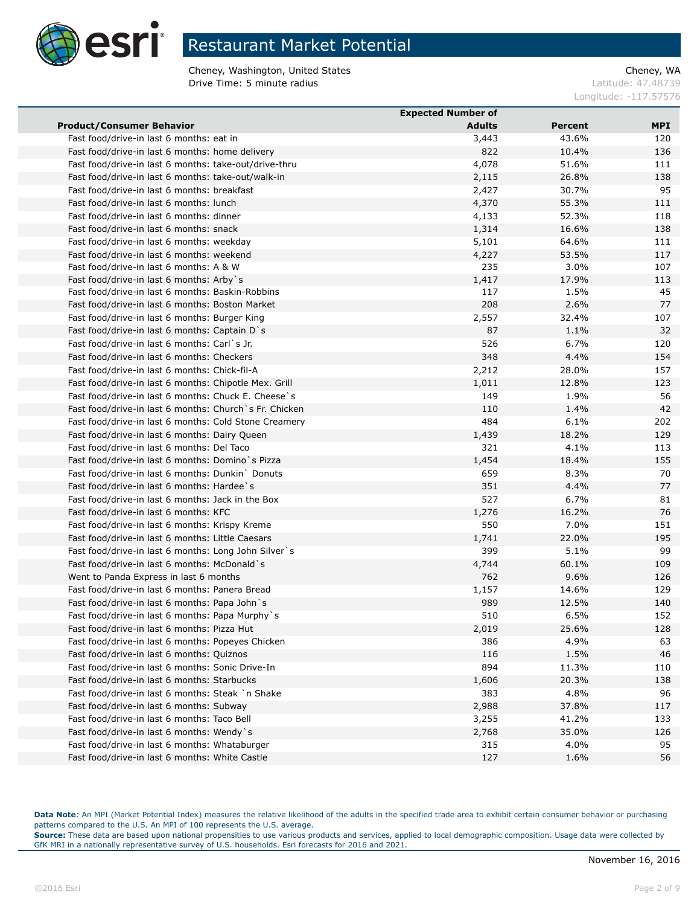

Cheney, Washington, United States Cheney, WA **Drive Time: 5 minute radius Contract Contract Contract Contract Contract Contract Contract Contract Contract Contract Contract Contract Contract Contract Contract Contract Contract Contract Contract Contract Contract Co** 

Longitude: -117.57576

|                                                         | <b>Expected Number of</b> |                |            |
|---------------------------------------------------------|---------------------------|----------------|------------|
| <b>Product/Consumer Behavior</b>                        | <b>Adults</b>             | <b>Percent</b> | <b>MPI</b> |
| Fast food/drive-in last 6 months: eat in                | 3,443                     | 43.6%          | 120        |
| Fast food/drive-in last 6 months: home delivery         | 822                       | 10.4%          | 136        |
| Fast food/drive-in last 6 months: take-out/drive-thru   | 4,078                     | 51.6%          | 111        |
| Fast food/drive-in last 6 months: take-out/walk-in      | 2,115                     | 26.8%          | 138        |
| Fast food/drive-in last 6 months: breakfast             | 2,427                     | 30.7%          | 95         |
| Fast food/drive-in last 6 months: lunch                 | 4,370                     | 55.3%          | 111        |
| Fast food/drive-in last 6 months: dinner                | 4,133                     | 52.3%          | 118        |
| Fast food/drive-in last 6 months: snack                 | 1,314                     | 16.6%          | 138        |
| Fast food/drive-in last 6 months: weekday               | 5,101                     | 64.6%          | 111        |
| Fast food/drive-in last 6 months: weekend               | 4,227                     | 53.5%          | 117        |
| Fast food/drive-in last 6 months: A & W                 | 235                       | 3.0%           | 107        |
| Fast food/drive-in last 6 months: Arby s                | 1,417                     | 17.9%          | 113        |
| Fast food/drive-in last 6 months: Baskin-Robbins        | 117                       | 1.5%           | 45         |
| Fast food/drive-in last 6 months: Boston Market         | 208                       | 2.6%           | 77         |
| Fast food/drive-in last 6 months: Burger King           | 2,557                     | 32.4%          | 107        |
| Fast food/drive-in last 6 months: Captain D's           | 87                        | 1.1%           | 32         |
| Fast food/drive-in last 6 months: Carl`s Jr.            | 526                       | 6.7%           | 120        |
| Fast food/drive-in last 6 months: Checkers              | 348                       | 4.4%           | 154        |
| Fast food/drive-in last 6 months: Chick-fil-A           | 2,212                     | 28.0%          | 157        |
| Fast food/drive-in last 6 months: Chipotle Mex. Grill   | 1,011                     | 12.8%          | 123        |
| Fast food/drive-in last 6 months: Chuck E. Cheese's     | 149                       | 1.9%           | 56         |
| Fast food/drive-in last 6 months: Church `s Fr. Chicken | 110                       | 1.4%           | 42         |
|                                                         | 484                       | 6.1%           | 202        |
| Fast food/drive-in last 6 months: Cold Stone Creamery   |                           |                |            |
| Fast food/drive-in last 6 months: Dairy Queen           | 1,439                     | 18.2%          | 129        |
| Fast food/drive-in last 6 months: Del Taco              | 321                       | 4.1%           | 113        |
| Fast food/drive-in last 6 months: Domino's Pizza        | 1,454                     | 18.4%          | 155        |
| Fast food/drive-in last 6 months: Dunkin `Donuts        | 659                       | 8.3%           | 70         |
| Fast food/drive-in last 6 months: Hardee's              | 351                       | 4.4%           | 77         |
| Fast food/drive-in last 6 months: Jack in the Box       | 527                       | 6.7%           | 81         |
| Fast food/drive-in last 6 months: KFC                   | 1,276                     | 16.2%          | 76         |
| Fast food/drive-in last 6 months: Krispy Kreme          | 550                       | 7.0%           | 151        |
| Fast food/drive-in last 6 months: Little Caesars        | 1,741                     | 22.0%          | 195        |
| Fast food/drive-in last 6 months: Long John Silver's    | 399                       | 5.1%           | 99         |
| Fast food/drive-in last 6 months: McDonald`s            | 4,744                     | 60.1%          | 109        |
| Went to Panda Express in last 6 months                  | 762                       | 9.6%           | 126        |
| Fast food/drive-in last 6 months: Panera Bread          | 1,157                     | 14.6%          | 129        |
| Fast food/drive-in last 6 months: Papa John's           | 989                       | 12.5%          | 140        |
| Fast food/drive-in last 6 months: Papa Murphy's         | 510                       | 6.5%           | 152        |
| Fast food/drive-in last 6 months: Pizza Hut             | 2,019                     | 25.6%          | 128        |
| Fast food/drive-in last 6 months: Popeyes Chicken       | 386                       | 4.9%           | 63         |
| Fast food/drive-in last 6 months: Quiznos               | 116                       | 1.5%           | 46         |
| Fast food/drive-in last 6 months: Sonic Drive-In        | 894                       | 11.3%          | 110        |
| Fast food/drive-in last 6 months: Starbucks             | 1,606                     | 20.3%          | 138        |
| Fast food/drive-in last 6 months: Steak `n Shake        | 383                       | 4.8%           | 96         |
| Fast food/drive-in last 6 months: Subway                | 2,988                     | 37.8%          | 117        |
| Fast food/drive-in last 6 months: Taco Bell             | 3,255                     | 41.2%          | 133        |
| Fast food/drive-in last 6 months: Wendy's               | 2,768                     | 35.0%          | 126        |
| Fast food/drive-in last 6 months: Whataburger           | 315                       | 4.0%           | 95         |
| Fast food/drive-in last 6 months: White Castle          | 127                       | 1.6%           | 56         |

Data Note: An MPI (Market Potential Index) measures the relative likelihood of the adults in the specified trade area to exhibit certain consumer behavior or purchasing patterns compared to the U.S. An MPI of 100 represents the U.S. average.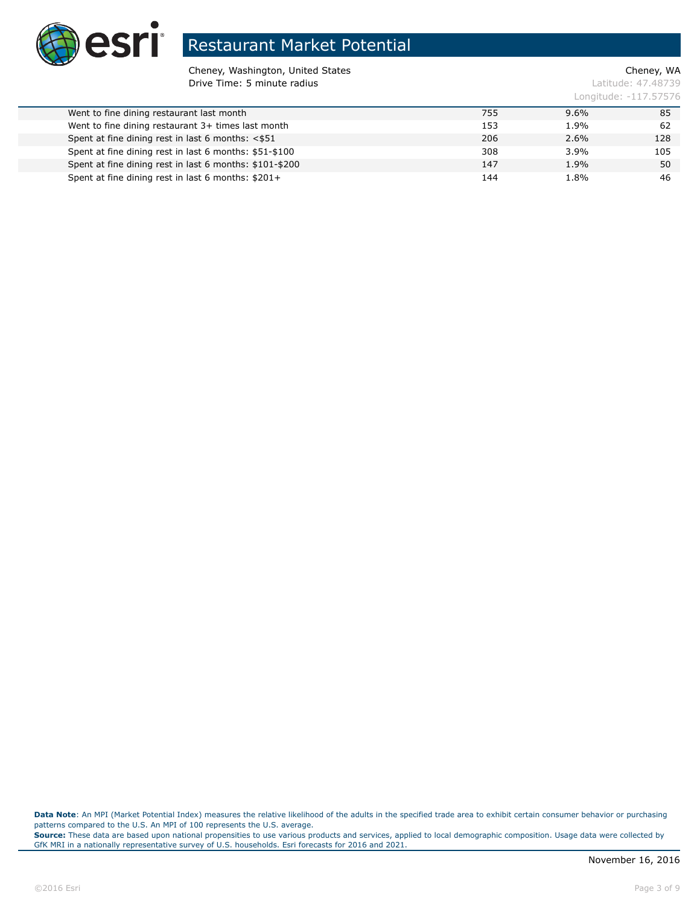

Cheney, Washington, United States Cheney, WA **Drive Time: 5 minute radius Contract Contract Contract Contract Contract Contract Contract Contract Contract Contract Contract Contract Contract Contract Contract Contract Contract Contract Contract Contract Contract Co** 

Longitude: -117.57576

| Went to fine dining restaurant last month               | 755 | $9.6\%$ | 85  |
|---------------------------------------------------------|-----|---------|-----|
| Went to fine dining restaurant 3+ times last month      | 153 | 1.9%    | 62  |
| Spent at fine dining rest in last 6 months: <\$51       | 206 | $2.6\%$ | 128 |
| Spent at fine dining rest in last 6 months: \$51-\$100  | 308 | 3.9%    | 105 |
| Spent at fine dining rest in last 6 months: \$101-\$200 | 147 | 1.9%    | 50  |
| Spent at fine dining rest in last 6 months: \$201+      | 144 | 1.8%    | 46  |
|                                                         |     |         |     |

Data Note: An MPI (Market Potential Index) measures the relative likelihood of the adults in the specified trade area to exhibit certain consumer behavior or purchasing patterns compared to the U.S. An MPI of 100 represents the U.S. average.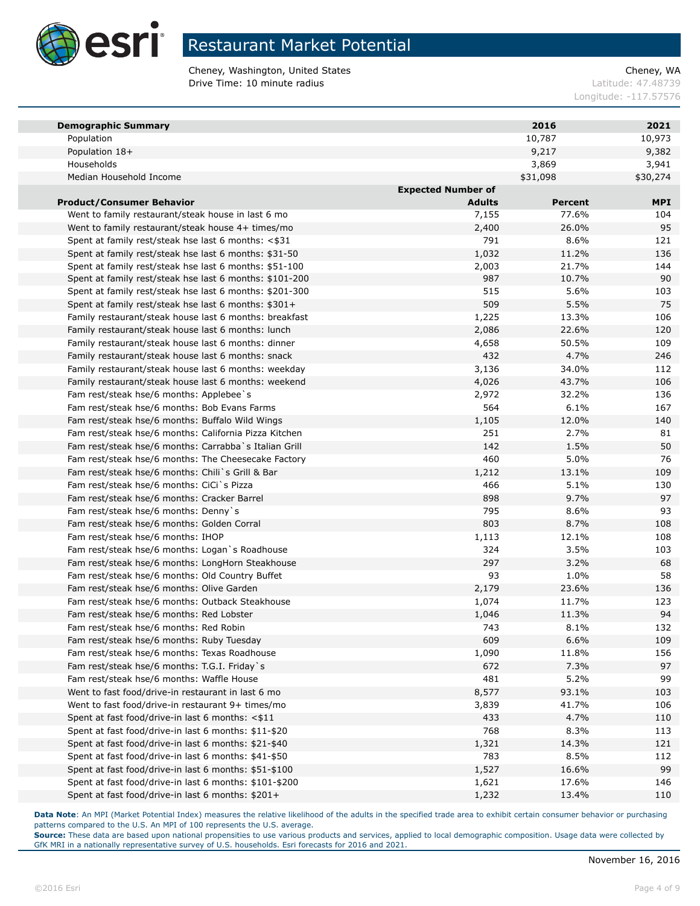

Cheney, Washington, United States Cheney, WA **Drive Time: 10 minute radius Latitude: 47.48739** 

Longitude: -117.57576

| <b>Demographic Summary</b>                              |                           | 2016     | 2021       |
|---------------------------------------------------------|---------------------------|----------|------------|
| Population                                              |                           | 10,787   | 10,973     |
| Population 18+                                          |                           | 9,217    | 9,382      |
| Households                                              |                           | 3,869    | 3,941      |
| Median Household Income                                 |                           | \$31,098 | \$30,274   |
|                                                         | <b>Expected Number of</b> |          |            |
| <b>Product/Consumer Behavior</b>                        | <b>Adults</b>             | Percent  | <b>MPI</b> |
| Went to family restaurant/steak house in last 6 mo      | 7,155                     | 77.6%    | 104        |
| Went to family restaurant/steak house 4+ times/mo       | 2,400                     | 26.0%    | 95         |
| Spent at family rest/steak hse last 6 months: <\$31     | 791                       | 8.6%     | 121        |
| Spent at family rest/steak hse last 6 months: \$31-50   | 1,032                     | 11.2%    | 136        |
| Spent at family rest/steak hse last 6 months: \$51-100  | 2,003                     | 21.7%    | 144        |
| Spent at family rest/steak hse last 6 months: \$101-200 | 987                       | 10.7%    | 90         |
| Spent at family rest/steak hse last 6 months: \$201-300 | 515                       | 5.6%     | 103        |
| Spent at family rest/steak hse last 6 months: \$301+    | 509                       | 5.5%     | 75         |
| Family restaurant/steak house last 6 months: breakfast  | 1,225                     | 13.3%    | 106        |
| Family restaurant/steak house last 6 months: lunch      | 2,086                     | 22.6%    | 120        |
| Family restaurant/steak house last 6 months: dinner     | 4,658                     | 50.5%    | 109        |
| Family restaurant/steak house last 6 months: snack      | 432                       | 4.7%     | 246        |
| Family restaurant/steak house last 6 months: weekday    | 3,136                     | 34.0%    | 112        |
| Family restaurant/steak house last 6 months: weekend    | 4,026                     | 43.7%    | 106        |
| Fam rest/steak hse/6 months: Applebee's                 | 2,972                     | 32.2%    | 136        |
| Fam rest/steak hse/6 months: Bob Evans Farms            | 564                       | 6.1%     | 167        |
| Fam rest/steak hse/6 months: Buffalo Wild Wings         | 1,105                     | 12.0%    | 140        |
| Fam rest/steak hse/6 months: California Pizza Kitchen   | 251                       | 2.7%     | 81         |
| Fam rest/steak hse/6 months: Carrabba`s Italian Grill   | 142                       | 1.5%     | 50         |
| Fam rest/steak hse/6 months: The Cheesecake Factory     | 460                       | 5.0%     | 76         |
| Fam rest/steak hse/6 months: Chili`s Grill & Bar        | 1,212                     | 13.1%    | 109        |
| Fam rest/steak hse/6 months: CiCi`s Pizza               | 466                       | 5.1%     | 130        |
| Fam rest/steak hse/6 months: Cracker Barrel             | 898                       | 9.7%     | 97         |
| Fam rest/steak hse/6 months: Denny's                    | 795                       | 8.6%     | 93         |
| Fam rest/steak hse/6 months: Golden Corral              | 803                       | 8.7%     | 108        |
| Fam rest/steak hse/6 months: IHOP                       | 1,113                     | 12.1%    | 108        |
| Fam rest/steak hse/6 months: Logan's Roadhouse          | 324                       | 3.5%     | 103        |
| Fam rest/steak hse/6 months: LongHorn Steakhouse        | 297                       | 3.2%     | 68         |
| Fam rest/steak hse/6 months: Old Country Buffet         | 93                        | 1.0%     | 58         |
| Fam rest/steak hse/6 months: Olive Garden               | 2,179                     | 23.6%    | 136        |
| Fam rest/steak hse/6 months: Outback Steakhouse         | 1,074                     | 11.7%    | 123        |
| Fam rest/steak hse/6 months: Red Lobster                | 1,046                     | 11.3%    | 94         |
| Fam rest/steak hse/6 months: Red Robin                  | 743                       | 8.1%     | 132        |
| Fam rest/steak hse/6 months: Ruby Tuesday               | 609                       | 6.6%     | 109        |
| Fam rest/steak hse/6 months: Texas Roadhouse            | 1,090                     | 11.8%    | 156        |
| Fam rest/steak hse/6 months: T.G.I. Friday`s            | 672                       | 7.3%     | 97         |
| Fam rest/steak hse/6 months: Waffle House               | 481                       | 5.2%     | 99         |
| Went to fast food/drive-in restaurant in last 6 mo      | 8,577                     | 93.1%    | 103        |
| Went to fast food/drive-in restaurant 9+ times/mo       | 3,839                     | 41.7%    | 106        |
| Spent at fast food/drive-in last 6 months: <\$11        | 433                       | 4.7%     | 110        |
| Spent at fast food/drive-in last 6 months: \$11-\$20    | 768                       | 8.3%     | 113        |
| Spent at fast food/drive-in last 6 months: \$21-\$40    | 1,321                     | 14.3%    | 121        |
| Spent at fast food/drive-in last 6 months: \$41-\$50    | 783                       | 8.5%     | 112        |
| Spent at fast food/drive-in last 6 months: \$51-\$100   | 1,527                     | 16.6%    | 99         |
| Spent at fast food/drive-in last 6 months: \$101-\$200  | 1,621                     | 17.6%    | 146        |
| Spent at fast food/drive-in last 6 months: \$201+       | 1,232                     | 13.4%    | 110        |

**Data Note**: An MPI (Market Potential Index) measures the relative likelihood of the adults in the specified trade area to exhibit certain consumer behavior or purchasing patterns compared to the U.S. An MPI of 100 represents the U.S. average.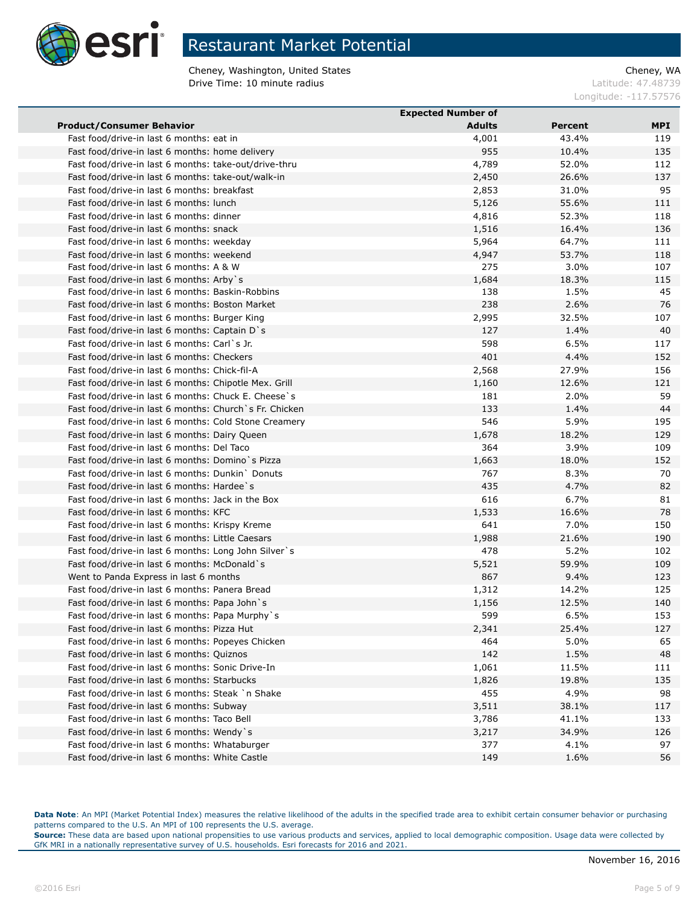

Cheney, Washington, United States Cheney, WA **Drive Time: 10 minute radius Latitude: 47.48739** 

Longitude: -117.57576

|                                                         | <b>Expected Number of</b> |                |     |
|---------------------------------------------------------|---------------------------|----------------|-----|
| <b>Product/Consumer Behavior</b>                        | <b>Adults</b>             | <b>Percent</b> | MPI |
| Fast food/drive-in last 6 months: eat in                | 4,001                     | 43.4%          | 119 |
| Fast food/drive-in last 6 months: home delivery         | 955                       | 10.4%          | 135 |
| Fast food/drive-in last 6 months: take-out/drive-thru   | 4,789                     | 52.0%          | 112 |
| Fast food/drive-in last 6 months: take-out/walk-in      | 2,450                     | 26.6%          | 137 |
| Fast food/drive-in last 6 months: breakfast             | 2,853                     | 31.0%          | 95  |
| Fast food/drive-in last 6 months: lunch                 | 5,126                     | 55.6%          | 111 |
| Fast food/drive-in last 6 months: dinner                | 4,816                     | 52.3%          | 118 |
| Fast food/drive-in last 6 months: snack                 | 1,516                     | 16.4%          | 136 |
| Fast food/drive-in last 6 months: weekday               | 5,964                     | 64.7%          | 111 |
| Fast food/drive-in last 6 months: weekend               | 4,947                     | 53.7%          | 118 |
| Fast food/drive-in last 6 months: A & W                 | 275                       | 3.0%           | 107 |
| Fast food/drive-in last 6 months: Arby s                | 1,684                     | 18.3%          | 115 |
| Fast food/drive-in last 6 months: Baskin-Robbins        | 138                       | 1.5%           | 45  |
| Fast food/drive-in last 6 months: Boston Market         | 238                       | 2.6%           | 76  |
| Fast food/drive-in last 6 months: Burger King           | 2,995                     | 32.5%          | 107 |
| Fast food/drive-in last 6 months: Captain D's           | 127                       | 1.4%           | 40  |
| Fast food/drive-in last 6 months: Carl`s Jr.            | 598                       | 6.5%           | 117 |
| Fast food/drive-in last 6 months: Checkers              | 401                       | 4.4%           | 152 |
| Fast food/drive-in last 6 months: Chick-fil-A           | 2,568                     | 27.9%          | 156 |
| Fast food/drive-in last 6 months: Chipotle Mex. Grill   | 1,160                     | 12.6%          | 121 |
| Fast food/drive-in last 6 months: Chuck E. Cheese's     | 181                       | 2.0%           | 59  |
| Fast food/drive-in last 6 months: Church `s Fr. Chicken | 133                       | 1.4%           | 44  |
| Fast food/drive-in last 6 months: Cold Stone Creamery   | 546                       | 5.9%           | 195 |
| Fast food/drive-in last 6 months: Dairy Queen           | 1,678                     | 18.2%          | 129 |
| Fast food/drive-in last 6 months: Del Taco              | 364                       | 3.9%           | 109 |
| Fast food/drive-in last 6 months: Domino's Pizza        | 1,663                     | 18.0%          | 152 |
| Fast food/drive-in last 6 months: Dunkin Donuts         | 767                       | 8.3%           | 70  |
| Fast food/drive-in last 6 months: Hardee`s              | 435                       | 4.7%           | 82  |
| Fast food/drive-in last 6 months: Jack in the Box       | 616                       | 6.7%           | 81  |
| Fast food/drive-in last 6 months: KFC                   | 1,533                     | 16.6%          | 78  |
| Fast food/drive-in last 6 months: Krispy Kreme          | 641                       | 7.0%           | 150 |
| Fast food/drive-in last 6 months: Little Caesars        | 1,988                     | 21.6%          | 190 |
| Fast food/drive-in last 6 months: Long John Silver's    | 478                       | 5.2%           | 102 |
| Fast food/drive-in last 6 months: McDonald `s           | 5,521                     | 59.9%          | 109 |
| Went to Panda Express in last 6 months                  | 867                       | 9.4%           | 123 |
| Fast food/drive-in last 6 months: Panera Bread          | 1,312                     | 14.2%          | 125 |
| Fast food/drive-in last 6 months: Papa John's           | 1,156                     | 12.5%          | 140 |
| Fast food/drive-in last 6 months: Papa Murphy's         | 599                       | 6.5%           | 153 |
| Fast food/drive-in last 6 months: Pizza Hut             | 2,341                     | 25.4%          | 127 |
| Fast food/drive-in last 6 months: Popeyes Chicken       | 464                       | 5.0%           | 65  |
| Fast food/drive-in last 6 months: Quiznos               | 142                       | 1.5%           | 48  |
| Fast food/drive-in last 6 months: Sonic Drive-In        | 1,061                     | 11.5%          | 111 |
| Fast food/drive-in last 6 months: Starbucks             | 1,826                     | 19.8%          | 135 |
| Fast food/drive-in last 6 months: Steak `n Shake        | 455                       | 4.9%           | 98  |
| Fast food/drive-in last 6 months: Subway                | 3,511                     | 38.1%          | 117 |
| Fast food/drive-in last 6 months: Taco Bell             | 3,786                     | 41.1%          | 133 |
| Fast food/drive-in last 6 months: Wendy's               | 3,217                     | 34.9%          | 126 |
| Fast food/drive-in last 6 months: Whataburger           | 377                       | 4.1%           | 97  |
| Fast food/drive-in last 6 months: White Castle          | 149                       | 1.6%           | 56  |
|                                                         |                           |                |     |

Data Note: An MPI (Market Potential Index) measures the relative likelihood of the adults in the specified trade area to exhibit certain consumer behavior or purchasing patterns compared to the U.S. An MPI of 100 represents the U.S. average.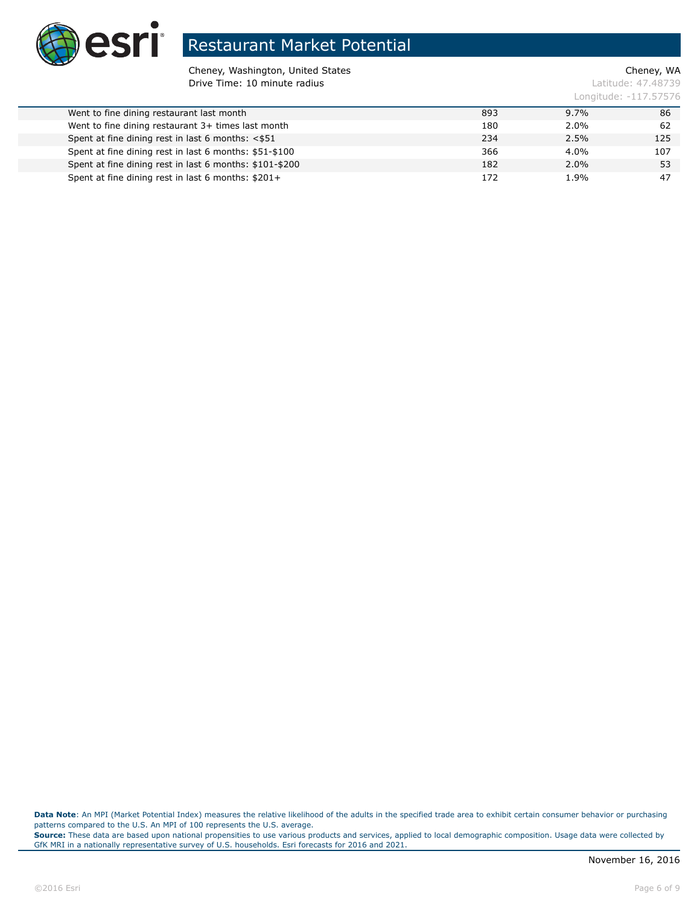

Cheney, Washington, United States Cheney, WA **Drive Time: 10 minute radius Latitude: 47.48739** 

Longitude: -117.57576

| Went to fine dining restaurant last month               | 893 | $9.7\%$ | 86  |
|---------------------------------------------------------|-----|---------|-----|
| Went to fine dining restaurant 3+ times last month      | 180 | 2.0%    | 62  |
| Spent at fine dining rest in last 6 months: <\$51       | 234 | $2.5\%$ | 125 |
| Spent at fine dining rest in last 6 months: \$51-\$100  | 366 | $4.0\%$ | 107 |
| Spent at fine dining rest in last 6 months: \$101-\$200 | 182 | $2.0\%$ | 53  |
| Spent at fine dining rest in last 6 months: \$201+      | 172 | 1.9%    | -47 |
|                                                         |     |         |     |

Data Note: An MPI (Market Potential Index) measures the relative likelihood of the adults in the specified trade area to exhibit certain consumer behavior or purchasing patterns compared to the U.S. An MPI of 100 represents the U.S. average.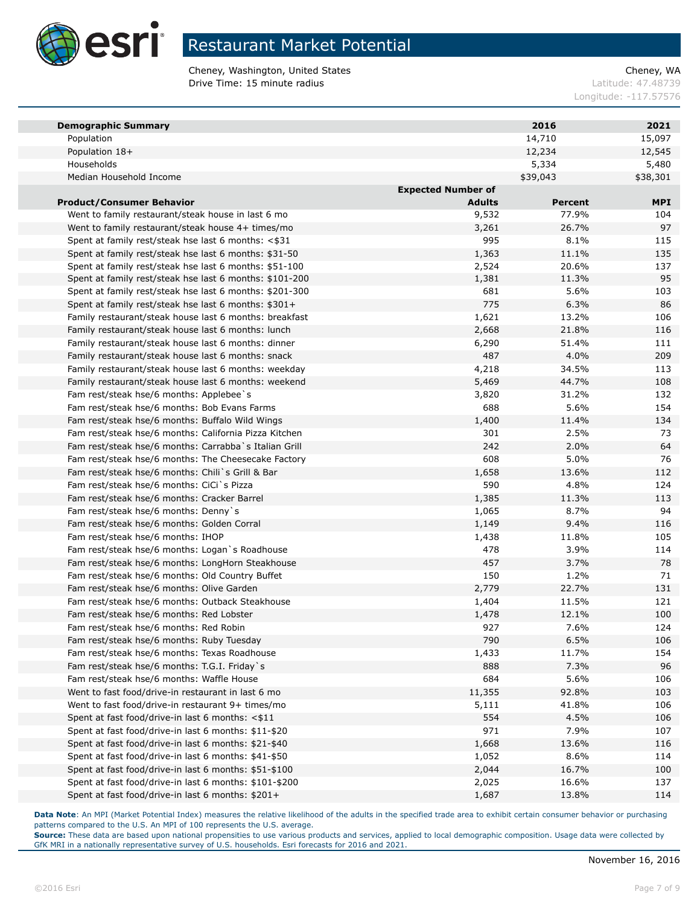

Cheney, Washington, United States Cheney, WA **Drive Time: 15 minute radius Latitude: 47.48739** 

Longitude: -117.57576

| <b>Demographic Summary</b>                              |                           | 2016           | 2021       |
|---------------------------------------------------------|---------------------------|----------------|------------|
| Population                                              |                           | 14,710         | 15,097     |
| Population 18+                                          |                           | 12,234         | 12,545     |
| Households                                              |                           | 5,334          | 5,480      |
| Median Household Income                                 |                           | \$39,043       | \$38,301   |
|                                                         | <b>Expected Number of</b> |                |            |
| <b>Product/Consumer Behavior</b>                        | <b>Adults</b>             | <b>Percent</b> | <b>MPI</b> |
| Went to family restaurant/steak house in last 6 mo      | 9,532                     | 77.9%          | 104        |
| Went to family restaurant/steak house 4+ times/mo       | 3,261                     | 26.7%          | 97         |
| Spent at family rest/steak hse last 6 months: <\$31     | 995                       | 8.1%           | 115        |
| Spent at family rest/steak hse last 6 months: \$31-50   | 1,363                     | 11.1%          | 135        |
| Spent at family rest/steak hse last 6 months: \$51-100  | 2,524                     | 20.6%          | 137        |
| Spent at family rest/steak hse last 6 months: \$101-200 | 1,381                     | 11.3%          | 95         |
| Spent at family rest/steak hse last 6 months: \$201-300 | 681                       | 5.6%           | 103        |
| Spent at family rest/steak hse last 6 months: \$301+    | 775                       | 6.3%           | 86         |
| Family restaurant/steak house last 6 months: breakfast  | 1,621                     | 13.2%          | 106        |
| Family restaurant/steak house last 6 months: lunch      | 2,668                     | 21.8%          | 116        |
| Family restaurant/steak house last 6 months: dinner     | 6,290                     | 51.4%          | 111        |
| Family restaurant/steak house last 6 months: snack      | 487                       | 4.0%           | 209        |
| Family restaurant/steak house last 6 months: weekday    | 4,218                     | 34.5%          | 113        |
| Family restaurant/steak house last 6 months: weekend    | 5,469                     | 44.7%          | 108        |
| Fam rest/steak hse/6 months: Applebee's                 | 3,820                     | 31.2%          | 132        |
| Fam rest/steak hse/6 months: Bob Evans Farms            | 688                       | 5.6%           | 154        |
| Fam rest/steak hse/6 months: Buffalo Wild Wings         | 1,400                     | 11.4%          | 134        |
| Fam rest/steak hse/6 months: California Pizza Kitchen   | 301                       | 2.5%           | 73         |
| Fam rest/steak hse/6 months: Carrabba`s Italian Grill   | 242                       | 2.0%           | 64         |
| Fam rest/steak hse/6 months: The Cheesecake Factory     | 608                       | 5.0%           | 76         |
| Fam rest/steak hse/6 months: Chili`s Grill & Bar        | 1,658                     | 13.6%          | 112        |
| Fam rest/steak hse/6 months: CiCi`s Pizza               | 590                       | 4.8%           | 124        |
| Fam rest/steak hse/6 months: Cracker Barrel             | 1,385                     | 11.3%          | 113        |
| Fam rest/steak hse/6 months: Denny's                    | 1,065                     | 8.7%           | 94         |
| Fam rest/steak hse/6 months: Golden Corral              | 1,149                     | 9.4%           | 116        |
| Fam rest/steak hse/6 months: IHOP                       | 1,438                     | 11.8%          | 105        |
| Fam rest/steak hse/6 months: Logan's Roadhouse          | 478                       | 3.9%           | 114        |
| Fam rest/steak hse/6 months: LongHorn Steakhouse        | 457                       | 3.7%           | 78         |
| Fam rest/steak hse/6 months: Old Country Buffet         | 150                       | 1.2%           | 71         |
| Fam rest/steak hse/6 months: Olive Garden               | 2,779                     | 22.7%          | 131        |
| Fam rest/steak hse/6 months: Outback Steakhouse         | 1,404                     | 11.5%          | 121        |
| Fam rest/steak hse/6 months: Red Lobster                | 1,478                     | 12.1%          | 100        |
| Fam rest/steak hse/6 months: Red Robin                  | 927                       | 7.6%           | 124        |
| Fam rest/steak hse/6 months: Ruby Tuesday               | 790                       | 6.5%           | 106        |
| Fam rest/steak hse/6 months: Texas Roadhouse            | 1,433                     | 11.7%          | 154        |
| Fam rest/steak hse/6 months: T.G.I. Friday`s            | 888                       | 7.3%           | 96         |
| Fam rest/steak hse/6 months: Waffle House               | 684                       | 5.6%           | 106        |
| Went to fast food/drive-in restaurant in last 6 mo      | 11,355                    | 92.8%          | 103        |
| Went to fast food/drive-in restaurant 9+ times/mo       | 5,111                     | 41.8%          | 106        |
| Spent at fast food/drive-in last 6 months: <\$11        | 554                       | 4.5%           | 106        |
| Spent at fast food/drive-in last 6 months: \$11-\$20    | 971                       | 7.9%           | 107        |
| Spent at fast food/drive-in last 6 months: \$21-\$40    | 1,668                     | 13.6%          | 116        |
| Spent at fast food/drive-in last 6 months: \$41-\$50    | 1,052                     | 8.6%           | 114        |
| Spent at fast food/drive-in last 6 months: \$51-\$100   | 2,044                     | 16.7%          | 100        |
| Spent at fast food/drive-in last 6 months: \$101-\$200  | 2,025                     | 16.6%          | 137        |
| Spent at fast food/drive-in last 6 months: \$201+       | 1,687                     | 13.8%          | 114        |

**Data Note**: An MPI (Market Potential Index) measures the relative likelihood of the adults in the specified trade area to exhibit certain consumer behavior or purchasing patterns compared to the U.S. An MPI of 100 represents the U.S. average.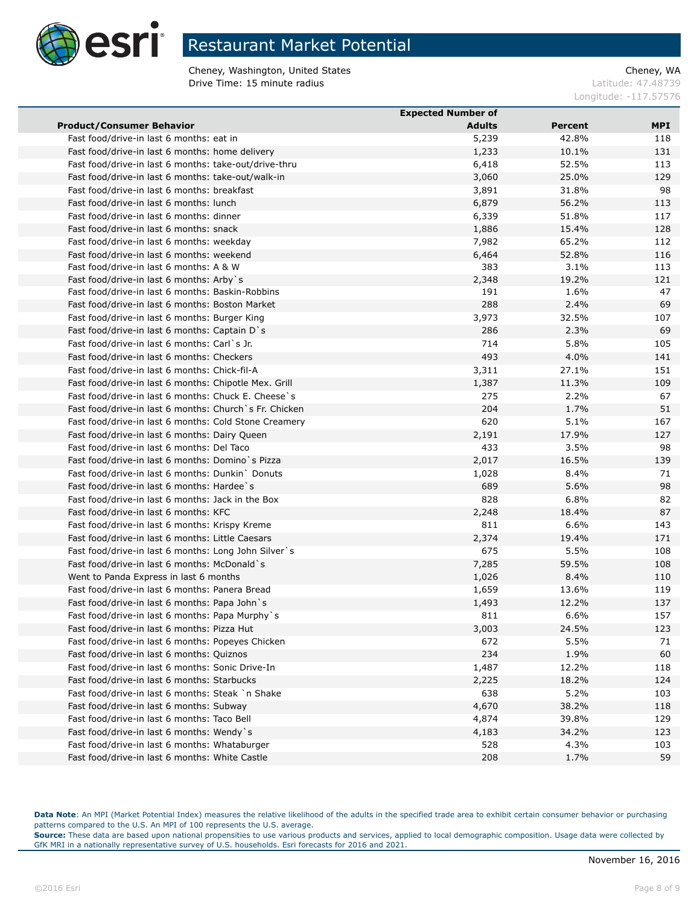

Cheney, Washington, United States Cheney, WA **Drive Time: 15 minute radius Latitude: 47.48739** 

Longitude: -117.57576

|                                                         | <b>Expected Number of</b> |                |     |
|---------------------------------------------------------|---------------------------|----------------|-----|
| <b>Product/Consumer Behavior</b>                        | <b>Adults</b>             | <b>Percent</b> | MPI |
| Fast food/drive-in last 6 months: eat in                | 5,239                     | 42.8%          | 118 |
| Fast food/drive-in last 6 months: home delivery         | 1,233                     | 10.1%          | 131 |
| Fast food/drive-in last 6 months: take-out/drive-thru   | 6,418                     | 52.5%          | 113 |
| Fast food/drive-in last 6 months: take-out/walk-in      | 3,060                     | 25.0%          | 129 |
| Fast food/drive-in last 6 months: breakfast             | 3,891                     | 31.8%          | 98  |
| Fast food/drive-in last 6 months: lunch                 | 6,879                     | 56.2%          | 113 |
| Fast food/drive-in last 6 months: dinner                | 6,339                     | 51.8%          | 117 |
| Fast food/drive-in last 6 months: snack                 | 1,886                     | 15.4%          | 128 |
| Fast food/drive-in last 6 months: weekday               | 7,982                     | 65.2%          | 112 |
| Fast food/drive-in last 6 months: weekend               | 6,464                     | 52.8%          | 116 |
| Fast food/drive-in last 6 months: A & W                 | 383                       | 3.1%           | 113 |
| Fast food/drive-in last 6 months: Arby`s                | 2,348                     | 19.2%          | 121 |
| Fast food/drive-in last 6 months: Baskin-Robbins        | 191                       | 1.6%           | 47  |
| Fast food/drive-in last 6 months: Boston Market         | 288                       | 2.4%           | 69  |
| Fast food/drive-in last 6 months: Burger King           | 3,973                     | 32.5%          | 107 |
| Fast food/drive-in last 6 months: Captain D's           | 286                       | 2.3%           | 69  |
| Fast food/drive-in last 6 months: Carl`s Jr.            | 714                       | 5.8%           | 105 |
| Fast food/drive-in last 6 months: Checkers              | 493                       | 4.0%           | 141 |
| Fast food/drive-in last 6 months: Chick-fil-A           | 3,311                     | 27.1%          | 151 |
| Fast food/drive-in last 6 months: Chipotle Mex. Grill   | 1,387                     | 11.3%          | 109 |
| Fast food/drive-in last 6 months: Chuck E. Cheese's     | 275                       | 2.2%           | 67  |
| Fast food/drive-in last 6 months: Church `s Fr. Chicken | 204                       | 1.7%           | 51  |
| Fast food/drive-in last 6 months: Cold Stone Creamery   | 620                       | 5.1%           | 167 |
| Fast food/drive-in last 6 months: Dairy Queen           | 2,191                     | 17.9%          | 127 |
| Fast food/drive-in last 6 months: Del Taco              | 433                       | 3.5%           | 98  |
| Fast food/drive-in last 6 months: Domino's Pizza        | 2,017                     | 16.5%          | 139 |
| Fast food/drive-in last 6 months: Dunkin Donuts         | 1,028                     | 8.4%           | 71  |
| Fast food/drive-in last 6 months: Hardee's              | 689                       | 5.6%           | 98  |
| Fast food/drive-in last 6 months: Jack in the Box       | 828                       | 6.8%           | 82  |
| Fast food/drive-in last 6 months: KFC                   | 2,248                     | 18.4%          | 87  |
| Fast food/drive-in last 6 months: Krispy Kreme          | 811                       | 6.6%           | 143 |
| Fast food/drive-in last 6 months: Little Caesars        | 2,374                     | 19.4%          | 171 |
| Fast food/drive-in last 6 months: Long John Silver's    | 675                       | 5.5%           | 108 |
| Fast food/drive-in last 6 months: McDonald `s           | 7,285                     | 59.5%          | 108 |
| Went to Panda Express in last 6 months                  | 1,026                     | 8.4%           | 110 |
| Fast food/drive-in last 6 months: Panera Bread          | 1,659                     | 13.6%          | 119 |
| Fast food/drive-in last 6 months: Papa John's           | 1,493                     | 12.2%          | 137 |
| Fast food/drive-in last 6 months: Papa Murphy`s         | 811                       | 6.6%           | 157 |
| Fast food/drive-in last 6 months: Pizza Hut             | 3,003                     | 24.5%          | 123 |
| Fast food/drive-in last 6 months: Popeyes Chicken       | 672                       | 5.5%           | 71  |
| Fast food/drive-in last 6 months: Quiznos               | 234                       | 1.9%           | 60  |
| Fast food/drive-in last 6 months: Sonic Drive-In        | 1,487                     | 12.2%          | 118 |
| Fast food/drive-in last 6 months: Starbucks             | 2,225                     | 18.2%          | 124 |
| Fast food/drive-in last 6 months: Steak `n Shake        | 638                       | 5.2%           | 103 |
| Fast food/drive-in last 6 months: Subway                | 4,670                     | 38.2%          | 118 |
| Fast food/drive-in last 6 months: Taco Bell             | 4,874                     | 39.8%          | 129 |
| Fast food/drive-in last 6 months: Wendy's               | 4,183                     | 34.2%          | 123 |
| Fast food/drive-in last 6 months: Whataburger           | 528                       | 4.3%           | 103 |
| Fast food/drive-in last 6 months: White Castle          | 208                       | 1.7%           | 59  |

Data Note: An MPI (Market Potential Index) measures the relative likelihood of the adults in the specified trade area to exhibit certain consumer behavior or purchasing patterns compared to the U.S. An MPI of 100 represents the U.S. average.